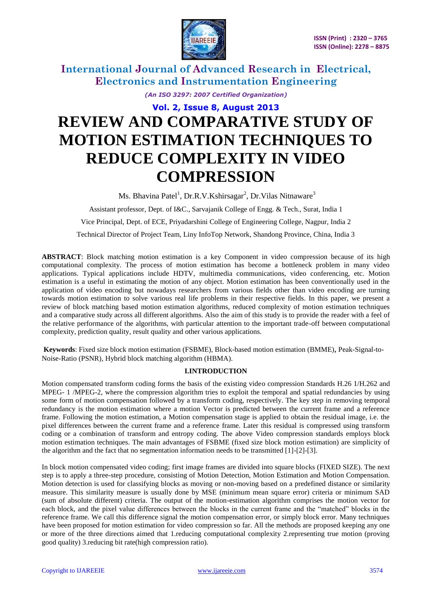

*(An ISO 3297: 2007 Certified Organization)*

# **Vol. 2, Issue 8, August 2013 REVIEW AND COMPARATIVE STUDY OF MOTION ESTIMATION TECHNIQUES TO REDUCE COMPLEXITY IN VIDEO COMPRESSION**

Ms. Bhavina Patel<sup>1</sup>, Dr.R.V.Kshirsagar<sup>2</sup>, Dr.Vilas Nitnaware<sup>3</sup>

Assistant professor, Dept. of I&C., Sarvajanik College of Engg. & Tech., Surat, India 1

Vice Principal, Dept. of ECE, Priyadarshini College of Engineering College, Nagpur, India 2

Technical Director of Project Team, Liny InfoTop Network, Shandong Province, China, India 3

**ABSTRACT**: Block matching motion estimation is a key Component in video compression because of its high computational complexity. The process of motion estimation has become a bottleneck problem in many video applications. Typical applications include HDTV, multimedia communications, video conferencing, etc. Motion estimation is a useful in estimating the motion of any object. Motion estimation has been conventionally used in the application of video encoding but nowadays researchers from various fields other than video encoding are turning towards motion estimation to solve various real life problems in their respective fields. In this paper, we present a review of block matching based motion estimation algorithms, reduced complexity of motion estimation techniques and a comparative study across all different algorithms. Also the aim of this study is to provide the reader with a feel of the relative performance of the algorithms, with particular attention to the important trade-off between computational complexity, prediction quality, result quality and other various applications.

**Keywords**: Fixed size block motion estimation (FSBME), Block-based motion estimation (BMME), Peak-Signal-to-Noise-Ratio (PSNR), Hybrid block matching algorithm (HBMA).

#### **I.INTRODUCTION**

Motion compensated transform coding forms the basis of the existing video compression Standards H.26 1/H.262 and MPEG- 1 /MPEG-2, where the compression algorithm tries to exploit the temporal and spatial redundancies by using some form of motion compensation followed by a transform coding, respectively. The key step in removing temporal redundancy is the motion estimation where a motion Vector is predicted between the current frame and a reference frame. Following the motion estimation, a Motion compensation stage is applied to obtain the residual image, i.e. the pixel differences between the current frame and a reference frame. Later this residual is compressed using transform coding or a combination of transform and entropy coding. The above Video compression standards employs block motion estimation techniques. The main advantages of FSBME (fixed size block motion estimation) are simplicity of the algorithm and the fact that no segmentation information needs to be transmitted [1]-[2]-[3].

In block motion compensated video coding; first image frames are divided into square blocks (FIXED SIZE). The next step is to apply a three-step procedure, consisting of Motion Detection, Motion Estimation and Motion Compensation. Motion detection is used for classifying blocks as moving or non-moving based on a predefined distance or similarity measure. This similarity measure is usually done by MSE (minimum mean square error) criteria or minimum SAD (sum of absolute different) criteria. The output of the motion-estimation algorithm comprises the motion vector for each block, and the pixel value differences between the blocks in the current frame and the "matched" blocks in the reference frame. We call this difference signal the motion compensation error, or simply block error. Many techniques have been proposed for motion estimation for video compression so far. All the methods are proposed keeping any one or more of the three directions aimed that 1.reducing computational complexity 2.representing true motion (proving good quality) 3.reducing bit rate(high compression ratio).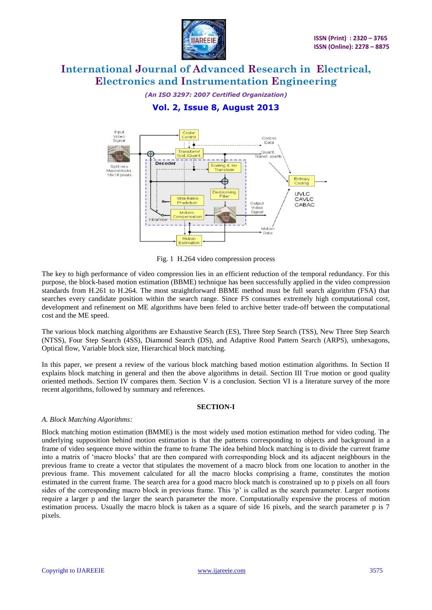

*(An ISO 3297: 2007 Certified Organization)*

### **Vol. 2, Issue 8, August 2013**



Fig. 1 H.264 video compression process

The key to high performance of video compression lies in an efficient reduction of the temporal redundancy. For this purpose, the block-based motion estimation (BBME) technique has been successfully applied in the video compression standards from H.261 to H.264. The most straightforward BBME method must be full search algorithm (FSA) that searches every candidate position within the search range. Since FS consumes extremely high computational cost, development and refinement on ME algorithms have been feled to archive better trade-off between the computational cost and the ME speed.

The various block matching algorithms are Exhaustive Search (ES), Three Step Search (TSS), New Three Step Search (NTSS), Four Step Search (4SS), Diamond Search (DS), and Adaptive Rood Pattern Search (ARPS), umhexagons, Optical flow, Variable block size, Hierarchical block matching.

In this paper, we present a review of the various block matching based motion estimation algorithms. In Section II explains block matching in general and then the above algorithms in detail. Section III True motion or good quality oriented methods. Section IV compares them. Section V is a conclusion. Section VI is a literature survey of the more recent algorithms, followed by summary and references.

#### **SECTION-I**

#### *A. Block Matching Algorithms:*

Block matching motion estimation (BMME) is the most widely used motion estimation method for video coding. The underlying supposition behind motion estimation is that the patterns corresponding to objects and background in a frame of video sequence move within the frame to frame The idea behind block matching is to divide the current frame into a matrix of "macro blocks" that are then compared with corresponding block and its adjacent neighbours in the previous frame to create a vector that stipulates the movement of a macro block from one location to another in the previous frame. This movement calculated for all the macro blocks comprising a frame, constitutes the motion estimated in the current frame. The search area for a good macro block match is constrained up to p pixels on all fours sides of the corresponding macro block in previous frame. This 'p' is called as the search parameter. Larger motions require a larger p and the larger the search parameter the more. Computationally expensive the process of motion estimation process. Usually the macro block is taken as a square of side 16 pixels, and the search parameter p is 7 pixels.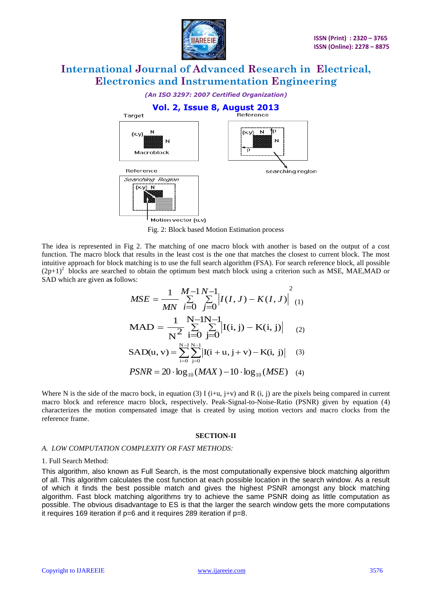

*(An ISO 3297: 2007 Certified Organization)*



Fig. 2: Block based Motion Estimation process

The idea is represented in Fig 2. The matching of one macro block with another is based on the output of a cost function. The macro block that results in the least cost is the one that matches the closest to current block. The most intuitive approach for block matching is to use the full search algorithm (FSA). For search reference block, all possible  $(2p+1)^2$  blocks are searched to obtain the optimum best match block using a criterion such as MSE, MAE,MAD or SAD which are given a**s** follows:

$$
MSE = \frac{1}{MN} \sum_{i=0}^{M-1} \sum_{j=0}^{N-1} \left| I(I, J) - K(I, J) \right|^2 (1)
$$
  
\n
$$
MAD = \frac{1}{N^2} \sum_{i=0}^{N-1} \sum_{j=0}^{N-1} \left| I(i, j) - K(i, j) \right| (2)
$$
  
\n
$$
SAD(u, v) = \sum_{i=0}^{N-1} \sum_{j=0}^{N-1} \left| I(i + u, j + v) - K(i, j) \right| (3)
$$
  
\n
$$
PSNR = 20 \cdot \log_{10} (MAX) - 10 \cdot \log_{10} (MSE) (4)
$$

Where N is the side of the macro bock, in equation (3) I (i+u, j+v) and R (i, j) are the pixels being compared in current macro block and reference macro block, respectively. Peak-Signal-to-Noise-Ratio (PSNR) given by equation (4) characterizes the motion compensated image that is created by using motion vectors and macro clocks from the reference frame.

#### **SECTION-II**

#### *A. LOW COMPUTATION COMPLEXITY OR FAST METHODS:*

#### 1. Full Search Method:

This algorithm, also known as Full Search, is the most computationally expensive block matching algorithm of all. This algorithm calculates the cost function at each possible location in the search window. As a result of which it finds the best possible match and gives the highest PSNR amongst any block matching algorithm. Fast block matching algorithms try to achieve the same PSNR doing as little computation as possible. The obvious disadvantage to ES is that the larger the search window gets the more computations it requires 169 iteration if p=6 and it requires 289 iteration if p=8.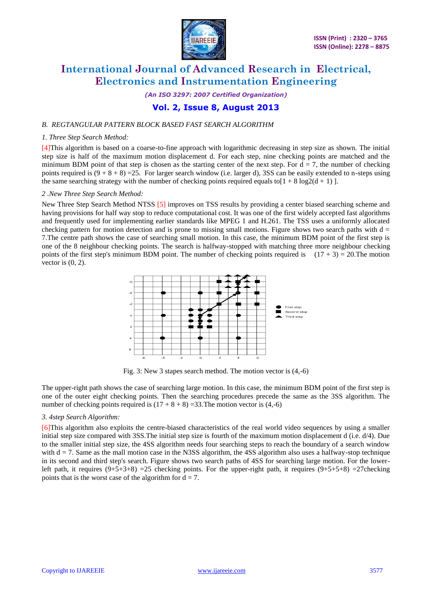

*(An ISO 3297: 2007 Certified Organization)*

### **Vol. 2, Issue 8, August 2013**

#### *B. REGTANGULAR PATTERN BLOCK BASED FAST SEARCH ALGORITHM*

#### *1. Three Step Search Method:*

[4]This algorithm is based on a coarse-to-fine approach with logarithmic decreasing in step size as shown. The initial step size is half of the maximum motion displacement d. For each step, nine checking points are matched and the minimum BDM point of that step is chosen as the starting center of the next step. For  $d = 7$ , the number of checking points required is  $(9 + 8 + 8) = 25$ . For larger search window (i.e. larger d), 3SS can be easily extended to n-steps using the same searching strategy with the number of checking points required equals to  $[1 + 8 \log 2(d + 1)]$ .

#### *2 .New Three Step Search Method:*

New Three Step Search Method NTSS [5] improves on TSS results by providing a center biased searching scheme and having provisions for half way stop to reduce computational cost. It was one of the first widely accepted fast algorithms and frequently used for implementing earlier standards like MPEG 1 and H.261. The TSS uses a uniformly allocated checking pattern for motion detection and is prone to missing small motions. Figure shows two search paths with  $d =$ 7.The centre path shows the case of searching small motion. In this case, the minimum BDM point of the first step is one of the 8 neighbour checking points. The search is halfway-stopped with matching three more neighbour checking points of the first step's minimum BDM point. The number of checking points required is  $(17 + 3) = 20$ . The motion vector is  $(0, 2)$ .



Fig. 3: New 3 stapes search method. The motion vector is (4,-6)

The upper-right path shows the case of searching large motion. In this case, the minimum BDM point of the first step is one of the outer eight checking points. Then the searching procedures precede the same as the 3SS algorithm. The number of checking points required is  $(17 + 8 + 8) = 33$ . The motion vector is  $(4, -6)$ 

#### *3. 4step Search Algorithm:*

[6]This algorithm also exploits the centre-biased characteristics of the real world video sequences by using a smaller initial step size compared with 3SS.The initial step size is fourth of the maximum motion displacement d (i.e. d/4). Due to the smaller initial step size, the 4SS algorithm needs four searching steps to reach the boundary of a search window with  $d = 7$ . Same as the mall motion case in the N3SS algorithm, the 4SS algorithm also uses a halfway-stop technique in its second and third step's search. Figure shows two search paths of 4SS for searching large motion. For the lowerleft path, it requires  $(9+5+3+8)$  =25 checking points. For the upper-right path, it requires  $(9+5+5+8)$  =27checking points that is the worst case of the algorithm for  $d = 7$ .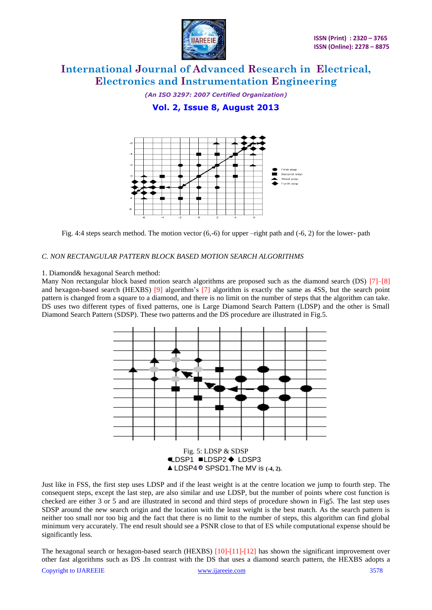

*(An ISO 3297: 2007 Certified Organization)* **Vol. 2, Issue 8, August 2013**



Fig. 4:4 steps search method. The motion vector (6,-6) for upper –right path and (-6, 2) for the lower- path

#### *C. NON RECTANGULAR PATTERN BLOCK BASED MOTION SEARCH ALGORITHMS*

#### 1. Diamond& hexagonal Search method:

Many Non rectangular block based motion search algorithms are proposed such as the diamond search (DS) [7]–[8] and hexagon-based search (HEXBS) [9] algorithm's [7] algorithm is exactly the same as 4SS, but the search point pattern is changed from a square to a diamond, and there is no limit on the number of steps that the algorithm can take. DS uses two different types of fixed patterns, one is Large Diamond Search Pattern (LDSP) and the other is Small Diamond Search Pattern (SDSP). These two patterns and the DS procedure are illustrated in Fig.5.



Just like in FSS, the first step uses LDSP and if the least weight is at the centre location we jump to fourth step. The consequent steps, except the last step, are also similar and use LDSP, but the number of points where cost function is checked are either 3 or 5 and are illustrated in second and third steps of procedure shown in Fig5. The last step uses SDSP around the new search origin and the location with the least weight is the best match. As the search pattern is neither too small nor too big and the fact that there is no limit to the number of steps, this algorithm can find global minimum very accurately. The end result should see a PSNR close to that of ES while computational expense should be significantly less.

Copyright to IJAREEIE [www.ijareeie.com](http://www.ijareeie.com/) 3578 The hexagonal search or hexagon-based search (HEXBS) [10]-[11]-[12] has shown the significant improvement over other fast algorithms such as DS .In contrast with the DS that uses a diamond search pattern, the HEXBS adopts a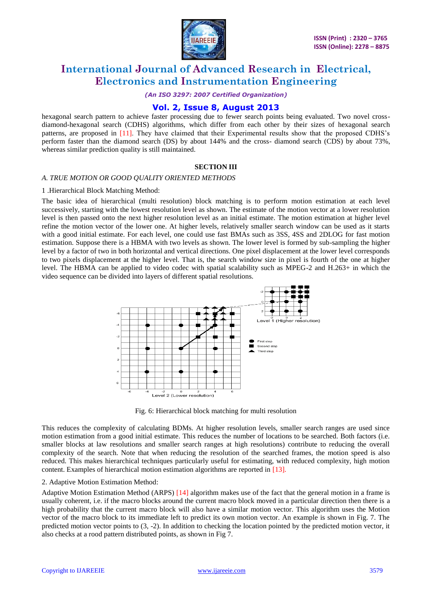

*(An ISO 3297: 2007 Certified Organization)*

### **Vol. 2, Issue 8, August 2013**

hexagonal search pattern to achieve faster processing due to fewer search points being evaluated. Two novel crossdiamond-hexagonal search (CDHS) algorithms, which differ from each other by their sizes of hexagonal search patterns, are proposed in [11]. They have claimed that their Experimental results show that the proposed CDHS"s perform faster than the diamond search (DS) by about 144% and the cross- diamond search (CDS) by about 73%, whereas similar prediction quality is still maintained.

#### **SECTION III**

#### *A. TRUE MOTION OR GOOD QUALITY ORIENTED METHODS*

#### 1 .Hierarchical Block Matching Method:

The basic idea of hierarchical (multi resolution) block matching is to perform motion estimation at each level successively, starting with the lowest resolution level as shown. The estimate of the motion vector at a lower resolution level is then passed onto the next higher resolution level as an initial estimate. The motion estimation at higher level refine the motion vector of the lower one. At higher levels, relatively smaller search window can be used as it starts with a good initial estimate. For each level, one could use fast BMAs such as 3SS, 4SS and 2DLOG for fast motion estimation. Suppose there is a HBMA with two levels as shown. The lower level is formed by sub-sampling the higher level by a factor of two in both horizontal and vertical directions. One pixel displacement at the lower level corresponds to two pixels displacement at the higher level. That is, the search window size in pixel is fourth of the one at higher level. The HBMA can be applied to video codec with spatial scalability such as MPEG-2 and H.263+ in which the video sequence can be divided into layers of different spatial resolutions.



Fig. 6: Hierarchical block matching for multi resolution

This reduces the complexity of calculating BDMs. At higher resolution levels, smaller search ranges are used since motion estimation from a good initial estimate. This reduces the number of locations to be searched. Both factors (i.e. smaller blocks at law resolutions and smaller search ranges at high resolutions) contribute to reducing the overall complexity of the search. Note that when reducing the resolution of the searched frames, the motion speed is also reduced. This makes hierarchical techniques particularly useful for estimating, with reduced complexity, high motion content. Examples of hierarchical motion estimation algorithms are reported in [13].

#### 2. Adaptive Motion Estimation Method:

Adaptive Motion Estimation Method (ARPS) [14] algorithm makes use of the fact that the general motion in a frame is usually coherent, i.e. if the macro blocks around the current macro block moved in a particular direction then there is a high probability that the current macro block will also have a similar motion vector. This algorithm uses the Motion vector of the macro block to its immediate left to predict its own motion vector. An example is shown in Fig. 7. The predicted motion vector points to (3, -2). In addition to checking the location pointed by the predicted motion vector, it also checks at a rood pattern distributed points, as shown in Fig 7.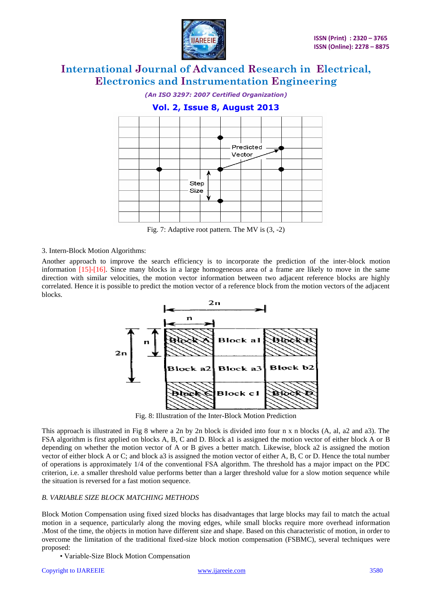

*(An ISO 3297: 2007 Certified Organization)*



Fig. 7: Adaptive root pattern. The MV is (3, -2)

#### 3. Intern-Block Motion Algorithms:

Another approach to improve the search efficiency is to incorporate the prediction of the inter-block motion information [15]-[16]. Since many blocks in a large homogeneous area of a frame are likely to move in the same direction with similar velocities, the motion vector information between two adjacent reference blocks are highly correlated. Hence it is possible to predict the motion vector of a reference block from the motion vectors of the adjacent blocks.



Fig. 8: Illustration of the Inter-Block Motion Prediction

This approach is illustrated in Fig 8 where a 2n by 2n block is divided into four n x n blocks (A, al, a2 and a3). The FSA algorithm is first applied on blocks A, B, C and D. Block a1 is assigned the motion vector of either block A or B depending on whether the motion vector of A or B gives a better match. Likewise, block a2 is assigned the motion vector of either block A or C; and block a3 is assigned the motion vector of either A, B, C or D. Hence the total number of operations is approximately 1/4 of the conventional FSA algorithm. The threshold has a major impact on the PDC criterion, i.e. a smaller threshold value performs better than a larger threshold value for a slow motion sequence while the situation is reversed for a fast motion sequence.

#### *B. VARIABLE SIZE BLOCK MATCHING METHODS*

Block Motion Compensation using fixed sized blocks has disadvantages that large blocks may fail to match the actual motion in a sequence, particularly along the moving edges, while small blocks require more overhead information .Most of the time, the objects in motion have different size and shape. Based on this characteristic of motion, in order to overcome the limitation of the traditional fixed-size block motion compensation (FSBMC), several techniques were proposed:

• Variable-Size Block Motion Compensation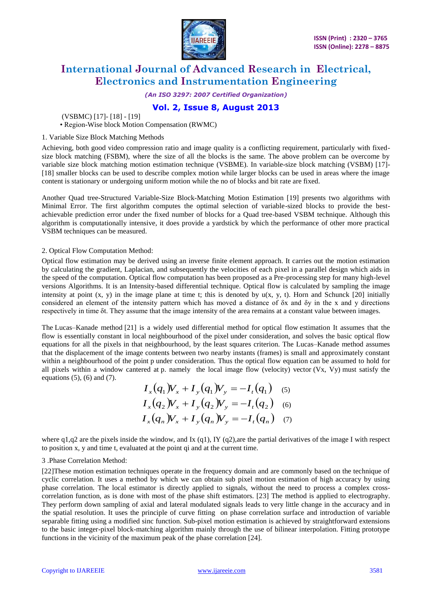

*(An ISO 3297: 2007 Certified Organization)*

### **Vol. 2, Issue 8, August 2013**

(VSBMC) [17]- [18] - [19]

• Region-Wise block Motion Compensation (RWMC)

#### 1. Variable Size Block Matching Methods

Achieving, both good video compression ratio and image quality is a conflicting requirement, particularly with fixedsize block matching (FSBM), where the size of all the blocks is the same. The above problem can be overcome by variable size block matching motion estimation technique (VSBME). In variable-size block matching (VSBM) [17]- [18] smaller blocks can be used to describe complex motion while larger blocks can be used in areas where the image content is stationary or undergoing uniform motion while the no of blocks and bit rate are fixed.

Another Quad tree-Structured Variable-Size Block-Matching Motion Estimation [19] presents two algorithms with Minimal Error. The first algorithm computes the optimal selection of variable-sized blocks to provide the bestachievable prediction error under the fixed number of blocks for a Quad tree-based VSBM technique. Although this algorithm is computationally intensive, it does provide a yardstick by which the performance of other more practical VSBM techniques can be measured.

#### 2. Optical Flow Computation Method:

Optical flow estimation may be derived using an inverse finite element approach. It carries out the motion estimation by calculating the gradient, Laplacian, and subsequently the velocities of each pixel in a parallel design which aids in the speed of the computation. Optical flow computation has been proposed as a Pre-processing step for many high-level versions Algorithms. It is an Intensity-based differential technique. Optical flow is calculated by sampling the image intensity at point  $(x, y)$  in the image plane at time t; this is denoted by  $u(x, y, t)$ . Horn and Schunck [20] initially considered an element of the intensity pattern which has moved a distance of δx and δy in the x and y directions respectively in time δt. They assume that the image intensity of the area remains at a constant value between images.

The Lucas–Kanade method [21] is a widely used differential method for [optical flow](https://en.wikipedia.org/wiki/Optical_flow) estimation It assumes that the flow is essentially constant in local neighbourhood of the [pixel](https://en.wikipedia.org/wiki/Pixel) under consideration, and solves the basic optical flow equations for all the pixels in that neighbourhood, by the [least squares criterion.](https://en.wikipedia.org/wiki/Least_squares_method) The Lucas–Kanade method assumes that the displacement of the image contents between two nearby instants (frames) is small and approximately constant within a neighbourhood of the point p under consideration. Thus the [optical flow equation](https://en.wikipedia.org/wiki/Optical_flow) can be assumed to hold for all pixels within a window cantered at p. namely the local image flow (velocity) vector  $(Vx, Vy)$  must satisfy the equations (5), (6) and (7).

$$
I_x(q_1)V_x + I_y(q_1)V_y = -I_t(q_1) \quad (5)
$$
  
\n
$$
I_x(q_2)V_x + I_y(q_2)V_y = -I_t(q_2) \quad (6)
$$
  
\n
$$
I_x(q_n)V_x + I_y(q_n)V_y = -I_t(q_n) \quad (7)
$$

where  $q1,q2$  are the pixels inside the window, and Ix (q1), IY (q2), are the partial derivatives of the image I with respect to position x, y and time t, evaluated at the point qi and at the current time.

#### 3 .Phase Correlation Method:

[22]These motion estimation techniques operate in the frequency domain and are commonly based on the technique of cyclic correlation. It uses a method by which we can obtain sub pixel motion estimation of high accuracy by using phase correlation. The local estimator is directly applied to signals, without the need to process a complex crosscorrelation function, as is done with most of the phase shift estimators. [23] The method is applied to electrography. They perform down sampling of axial and lateral modulated signals leads to very little change in the accuracy and in the spatial resolution. It uses the principle of curve fitting on phase correlation surface and introduction of variable separable fitting using a modified sinc function. Sub-pixel motion estimation is achieved by straightforward extensions to the basic integer-pixel block-matching algorithm mainly through the use of bilinear interpolation. Fitting prototype functions in the vicinity of the maximum peak of the phase correlation [24].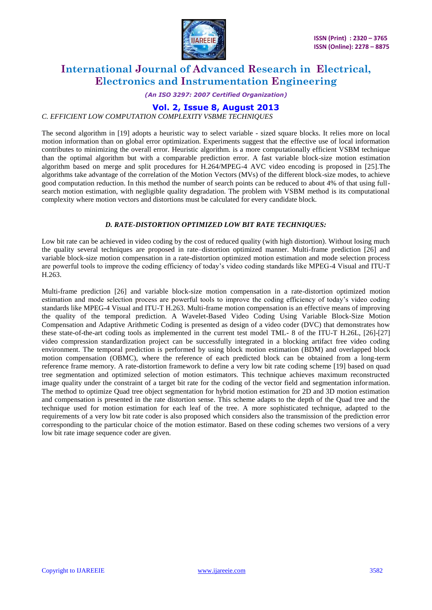

*(An ISO 3297: 2007 Certified Organization)*

### **Vol. 2, Issue 8, August 2013**

#### *C. EFFICIENT LOW COMPUTATION COMPLEXITY VSBME TECHNIQUES*

The second algorithm in [19] adopts a heuristic way to select variable - sized square blocks. It relies more on local motion information than on global error optimization. Experiments suggest that the effective use of local information contributes to minimizing the overall error. Heuristic algorithm. is a more computationally efficient VSBM technique than the optimal algorithm but with a comparable prediction error. A fast variable block-size motion estimation algorithm based on merge and split procedures for H.264/MPEG-4 AVC video encoding is proposed in [25].The algorithms take advantage of the correlation of the Motion Vectors (MVs) of the different block-size modes, to achieve good computation reduction. In this method the number of search points can be reduced to about 4% of that using fullsearch motion estimation, with negligible quality degradation. The problem with VSBM method is its computational complexity where motion vectors and distortions must be calculated for every candidate block.

#### *D. RATE-DISTORTION OPTIMIZED LOW BIT RATE TECHNIQUES:*

Low bit rate can be achieved in video coding by the cost of reduced quality (with high distortion). Without losing much the quality several techniques are proposed in rate–distortion optimized manner. Multi-frame prediction [26] and variable block-size motion compensation in a rate-distortion optimized motion estimation and mode selection process are powerful tools to improve the coding efficiency of today"s video coding standards like MPEG-4 Visual and ITU-T H.263.

Multi-frame prediction [26] and variable block-size motion compensation in a rate-distortion optimized motion estimation and mode selection process are powerful tools to improve the coding efficiency of today"s video coding standards like MPEG-4 Visual and ITU-T H.263. Multi-frame motion compensation is an effective means of improving the quality of the temporal prediction. A Wavelet-Based Video Coding Using Variable Block-Size Motion Compensation and Adaptive Arithmetic Coding is presented as design of a video coder (DVC) that demonstrates how these state-of-the-art coding tools as implemented in the current test model TML- 8 of the ITU-T H.26L, [26]-[27] video compression standardization project can be successfully integrated in a blocking artifact free video coding environment. The temporal prediction is performed by using block motion estimation (BDM) and overlapped block motion compensation (OBMC), where the reference of each predicted block can be obtained from a long-term reference frame memory. A rate-distortion framework to define a very low bit rate coding scheme [19] based on quad tree segmentation and optimized selection of motion estimators. This technique achieves maximum reconstructed image quality under the constraint of a target bit rate for the coding of the vector field and segmentation information. The method to optimize Quad tree object segmentation for hybrid motion estimation for 2D and 3D motion estimation and compensation is presented in the rate distortion sense. This scheme adapts to the depth of the Quad tree and the technique used for motion estimation for each leaf of the tree. A more sophisticated technique, adapted to the requirements of a very low bit rate coder is also proposed which considers also the transmission of the prediction error corresponding to the particular choice of the motion estimator. Based on these coding schemes two versions of a very low bit rate image sequence coder are given.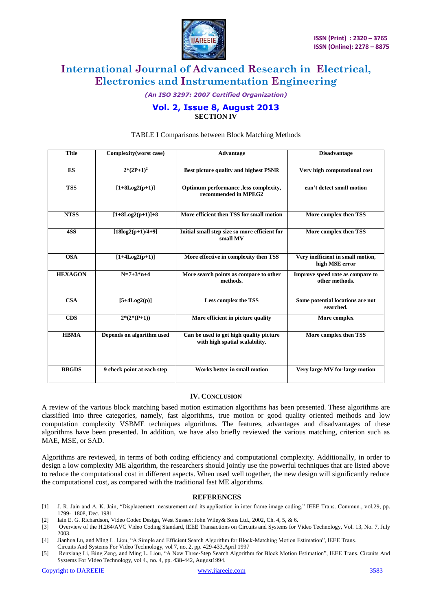

*(An ISO 3297: 2007 Certified Organization)*

#### **Vol. 2, Issue 8, August 2013 SECTION IV**

| <b>Title</b>   | Complexity(worst case)     | Advantage                                                                 | <b>Disadvantage</b>                                 |
|----------------|----------------------------|---------------------------------------------------------------------------|-----------------------------------------------------|
| ES             | $2*(2P+1)^2$               | Best picture quality and highest PSNR                                     | Very high computational cost                        |
| <b>TSS</b>     | $[1+8Log2(p+1)]$           | Optimum performance , less complexity,<br>recommended in MPEG2            | can't detect small motion                           |
| <b>NTSS</b>    | $[1+8Log2(p+1)]+8$         | More efficient then TSS for small motion                                  | More complex then TSS                               |
| 4SS            | $[18log2(p+1)/4+9]$        | Initial small step size so more efficient for<br>small MV                 | More complex then TSS                               |
| <b>OSA</b>     | $[1+4Log2(p+1)]$           | More effective in complexity then TSS                                     | Very inefficient in small motion,<br>high MSE error |
| <b>HEXAGON</b> | $N=7+3*n+4$                | More search points as compare to other<br>methods.                        | Improve speed rate as compare to<br>other methods.  |
| <b>CSA</b>     | $[5+4Log2(p)]$             | <b>Less complex the TSS</b>                                               | Some potential locations are not<br>searched.       |
| <b>CDS</b>     | $2*(2*(P+1))$              | More efficient in picture quality                                         | More complex                                        |
| <b>HBMA</b>    | Depends on algorithm used  | Can be used to get high quality picture<br>with high spatial scalability. | More complex then TSS                               |
| <b>BBGDS</b>   | 9 check point at each step | Works better in small motion                                              | Very large MV for large motion                      |

#### TABLE I Comparisons between Block Matching Methods

#### **IV. CONCLUSION**

A review of the various block matching based motion estimation algorithms has been presented. These algorithms are classified into three categories, namely, fast algorithms, true motion or good quality oriented methods and low computation complexity VSBME techniques algorithms. The features, advantages and disadvantages of these algorithms have been presented. In addition, we have also briefly reviewed the various matching, criterion such as MAE, MSE, or SAD.

Algorithms are reviewed, in terms of both coding efficiency and computational complexity. Additionally, in order to design a low complexity ME algorithm, the researchers should jointly use the powerful techniques that are listed above to reduce the computational cost in different aspects. When used well together, the new design will significantly reduce the computational cost, as compared with the traditional fast ME algorithms.

#### **REFERENCES**

- [1] J. R. Jain and A. K. Jain, "Displacement measurement and its application in inter frame image coding," IEEE Trans. Commun., vol.29, pp. 1799- 1808, Dec. 1981.
- [2] Iain E. G. Richardson, Video Codec Design, West Sussex: John Wiley& Sons Ltd., 2002, Ch. 4, 5, & 6.
- [3] Overview of the H.264/AVC Video Coding Standard, IEEE Transactions on Circuits and Systems for Video Technology, Vol. 13, No. 7, July 2003.
- [4] Jianhua Lu, and Ming L. Liou, "A Simple and Efficient Search Algorithm for Block-Matching Motion Estimation", IEEE Trans.
- Circuits And Systems For Video Technology, vol 7, no. 2, pp. 429-433,April 1997
- [5] Renxiang Li, Bing Zeng, and Ming L. Liou, "A New Three-Step Search Algorithm for Block Motion Estimation", IEEE Trans. Circuits And Systems For Video Technology, vol 4., no. 4, pp. 438-442, August1994.